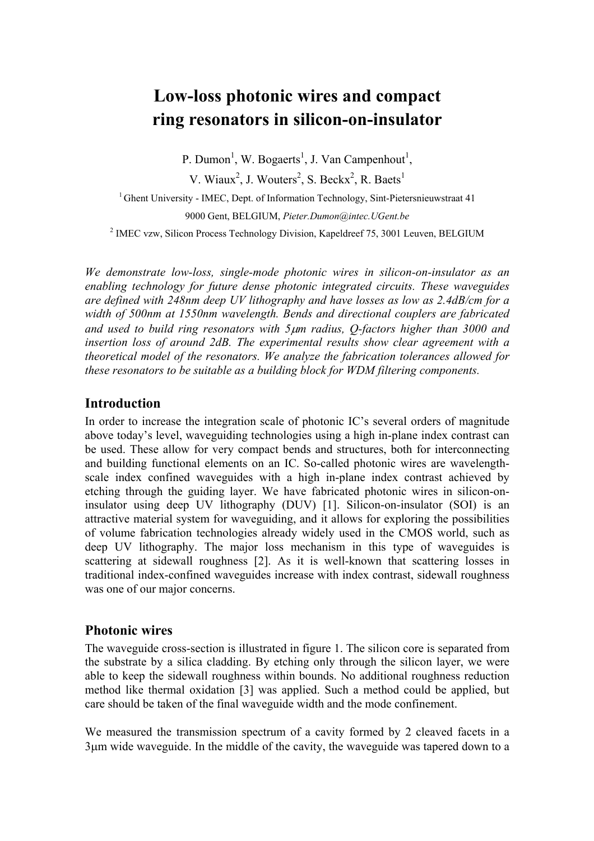# **Low-loss photonic wires and compact ring resonators in silicon-on-insulator**

P. Dumon<sup>1</sup>, W. Bogaerts<sup>1</sup>, J. Van Campenhout<sup>1</sup>,

V. Wiaux<sup>2</sup>, J. Wouters<sup>2</sup>, S. Beckx<sup>2</sup>, R. Baets<sup>1</sup>

<sup>1</sup> Ghent University - IMEC, Dept. of Information Technology, Sint-Pietersnieuwstraat 41

9000 Gent, BELGIUM, *Pieter.Dumon@intec.UGent.be*

<sup>2</sup> IMEC vzw, Silicon Process Technology Division, Kapeldreef 75, 3001 Leuven, BELGIUM

*We demonstrate low-loss, single-mode photonic wires in silicon-on-insulator as an enabling technology for future dense photonic integrated circuits. These waveguides are defined with 248nm deep UV lithography and have losses as low as 2.4dB/cm for a width of 500nm at 1550nm wavelength. Bends and directional couplers are fabricated and used to build ring resonators with 5*µ*m radius, Q-factors higher than 3000 and insertion loss of around 2dB. The experimental results show clear agreement with a theoretical model of the resonators. We analyze the fabrication tolerances allowed for these resonators to be suitable as a building block for WDM filtering components.* 

# **Introduction**

In order to increase the integration scale of photonic IC's several orders of magnitude above today's level, waveguiding technologies using a high in-plane index contrast can be used. These allow for very compact bends and structures, both for interconnecting and building functional elements on an IC. So-called photonic wires are wavelengthscale index confined waveguides with a high in-plane index contrast achieved by etching through the guiding layer. We have fabricated photonic wires in silicon-oninsulator using deep UV lithography (DUV) [1]. Silicon-on-insulator (SOI) is an attractive material system for waveguiding, and it allows for exploring the possibilities of volume fabrication technologies already widely used in the CMOS world, such as deep UV lithography. The major loss mechanism in this type of waveguides is scattering at sidewall roughness [2]. As it is well-known that scattering losses in traditional index-confined waveguides increase with index contrast, sidewall roughness was one of our major concerns.

## **Photonic wires**

The waveguide cross-section is illustrated in figure 1. The silicon core is separated from the substrate by a silica cladding. By etching only through the silicon layer, we were able to keep the sidewall roughness within bounds. No additional roughness reduction method like thermal oxidation [3] was applied. Such a method could be applied, but care should be taken of the final waveguide width and the mode confinement.

We measured the transmission spectrum of a cavity formed by 2 cleaved facets in a 3µm wide waveguide. In the middle of the cavity, the waveguide was tapered down to a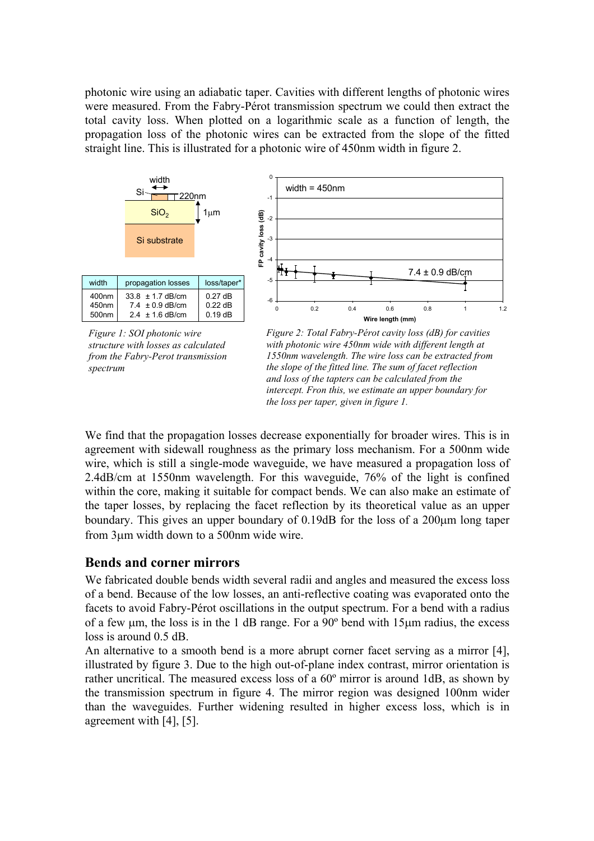photonic wire using an adiabatic taper. Cavities with different lengths of photonic wires were measured. From the Fabry-Pérot transmission spectrum we could then extract the total cavity loss. When plotted on a logarithmic scale as a function of length, the propagation loss of the photonic wires can be extracted from the slope of the fitted straight line. This is illustrated for a photonic wire of 450nm width in figure 2.



*Figure 1: SOI photonic wire structure with losses as calculated from the Fabry-Perot transmission spectrum* 



We find that the propagation losses decrease exponentially for broader wires. This is in agreement with sidewall roughness as the primary loss mechanism. For a 500nm wide wire, which is still a single-mode waveguide, we have measured a propagation loss of 2.4dB/cm at 1550nm wavelength. For this waveguide, 76% of the light is confined within the core, making it suitable for compact bends. We can also make an estimate of the taper losses, by replacing the facet reflection by its theoretical value as an upper boundary. This gives an upper boundary of 0.19dB for the loss of a 200µm long taper from 3µm width down to a 500nm wide wire.

## **Bends and corner mirrors**

We fabricated double bends width several radii and angles and measured the excess loss of a bend. Because of the low losses, an anti-reflective coating was evaporated onto the facets to avoid Fabry-Pérot oscillations in the output spectrum. For a bend with a radius of a few  $\mu$ m, the loss is in the 1 dB range. For a 90 $\degree$  bend with 15 $\mu$ m radius, the excess loss is around 0.5 dB.

An alternative to a smooth bend is a more abrupt corner facet serving as a mirror [4], illustrated by figure 3. Due to the high out-of-plane index contrast, mirror orientation is rather uncritical. The measured excess loss of a 60º mirror is around 1dB, as shown by the transmission spectrum in figure 4. The mirror region was designed 100nm wider than the waveguides. Further widening resulted in higher excess loss, which is in agreement with [4], [5].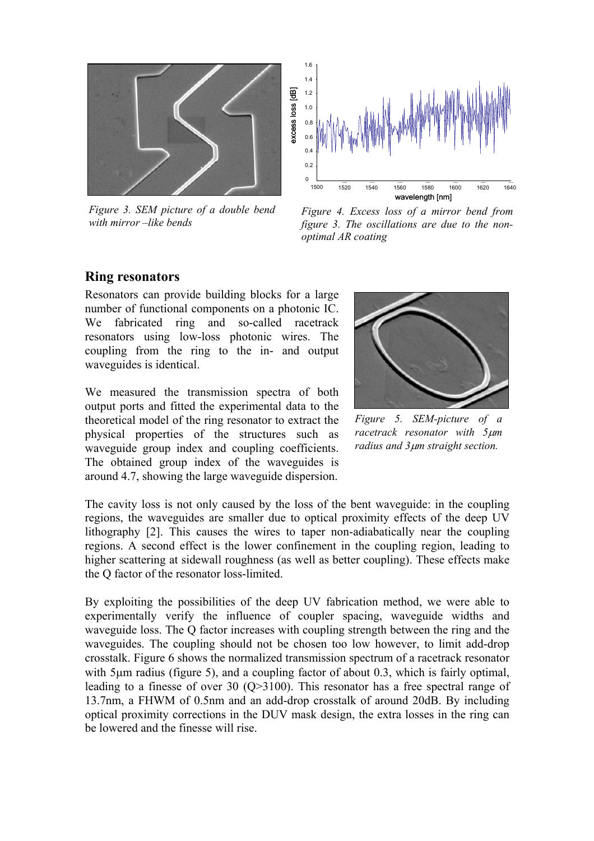

*Figure 3. SEM picture of a double bend with mirror –like bends* 



*Figure 4. Excess loss of a mirror bend from figure 3. The oscillations are due to the nonoptimal AR coating* 

### **Ring resonators**

Resonators can provide building blocks for a large number of functional components on a photonic IC. We fabricated ring and so-called racetrack resonators using low-loss photonic wires. The coupling from the ring to the in- and output waveguides is identical.

We measured the transmission spectra of both output ports and fitted the experimental data to the theoretical model of the ring resonator to extract the physical properties of the structures such as waveguide group index and coupling coefficients. The obtained group index of the waveguides is around 4.7, showing the large waveguide dispersion.



*Figure 5. SEM-picture of a racetrack resonator with 5*µ*m radius and 3*µ*m straight section.* 

The cavity loss is not only caused by the loss of the bent waveguide: in the coupling regions, the waveguides are smaller due to optical proximity effects of the deep UV lithography [2]. This causes the wires to taper non-adiabatically near the coupling regions. A second effect is the lower confinement in the coupling region, leading to higher scattering at sidewall roughness (as well as better coupling). These effects make the Q factor of the resonator loss-limited.

By exploiting the possibilities of the deep UV fabrication method, we were able to experimentally verify the influence of coupler spacing, waveguide widths and waveguide loss. The Q factor increases with coupling strength between the ring and the waveguides. The coupling should not be chosen too low however, to limit add-drop crosstalk. Figure 6 shows the normalized transmission spectrum of a racetrack resonator with 5um radius (figure 5), and a coupling factor of about 0.3, which is fairly optimal, leading to a finesse of over 30 (Q>3100). This resonator has a free spectral range of 13.7nm, a FHWM of 0.5nm and an add-drop crosstalk of around 20dB. By including optical proximity corrections in the DUV mask design, the extra losses in the ring can be lowered and the finesse will rise.